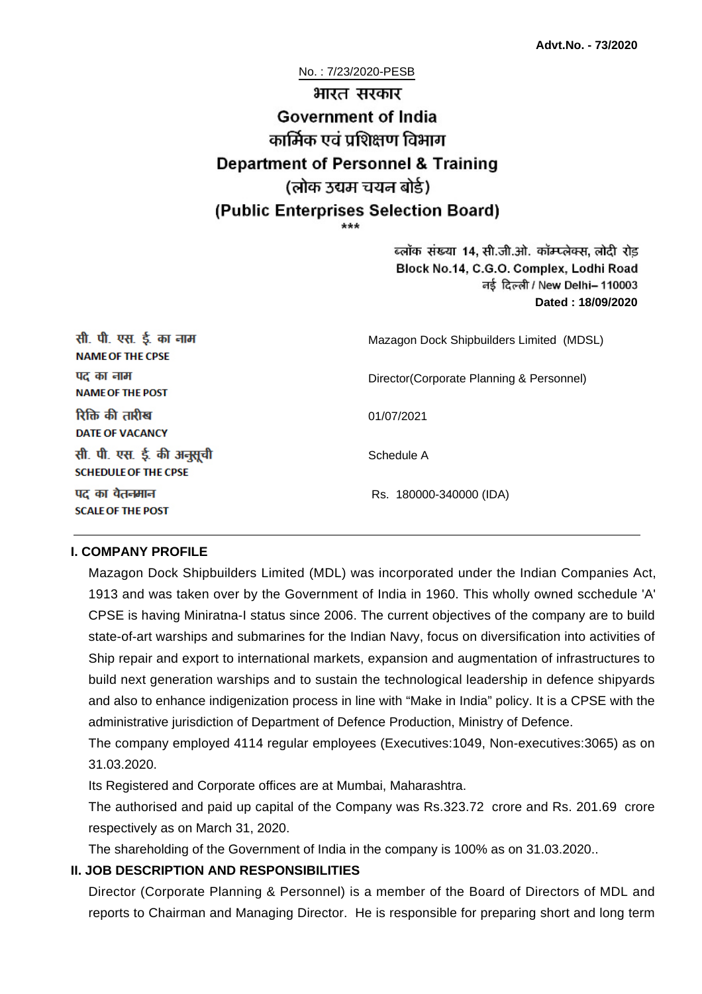# No. : 7/23/2020-PESB भारत सरकार **Government of India** कार्मिक एवं पशिक्षण विभाग **Department of Personnel & Training** (लोक उद्यम चयन बोर्ड) (Public Enterprises Selection Board)

ब्लॉक संख्या 14, सी.जी.ओ. कॉम्प्लेक्स, लोदी रोड Block No.14, C.G.O. Complex, Lodhi Road ਰई दिल्ली / New Delhi– 110003 **Dated : 18/09/2020**

| सी. पी. एस. ई. का नाम<br><b>NAME OF THE CPSE</b>         | Mazagon Dock Shipbuilders Limited (MDSL) |  |
|----------------------------------------------------------|------------------------------------------|--|
| पद का नाम<br><b>NAME OF THE POST</b>                     | Director(Corporate Planning & Personnel) |  |
| रिक्ति की तारीख<br><b>DATE OF VACANCY</b>                | 01/07/2021                               |  |
| सी. पी. एस. ई. की अनुसूची<br><b>SCHEDULE OF THE CPSE</b> | Schedule A                               |  |
| पद का वेतनमान<br><b>SCALE OF THE POST</b>                | Rs. 180000-340000 (IDA)                  |  |

#### **I. COMPANY PROFILE**

Mazagon Dock Shipbuilders Limited (MDL) was incorporated under the Indian Companies Act, 1913 and was taken over by the Government of India in 1960. This wholly owned scchedule 'A' CPSE is having Miniratna-I status since 2006. The current objectives of the company are to build state-of-art warships and submarines for the Indian Navy, focus on diversification into activities of Ship repair and export to international markets, expansion and augmentation of infrastructures to build next generation warships and to sustain the technological leadership in defence shipyards and also to enhance indigenization process in line with "Make in India" policy. It is a CPSE with the administrative jurisdiction of Department of Defence Production, Ministry of Defence.

The company employed 4114 regular employees (Executives:1049, Non-executives:3065) as on 31.03.2020.

Its Registered and Corporate offices are at Mumbai, Maharashtra.

The authorised and paid up capital of the Company was Rs.323.72 crore and Rs. 201.69 crore respectively as on March 31, 2020.

The shareholding of the Government of India in the company is 100% as on 31.03.2020..

# **II. JOB DESCRIPTION AND RESPONSIBILITIES**

Director (Corporate Planning & Personnel) is a member of the Board of Directors of MDL and reports to Chairman and Managing Director. He is responsible for preparing short and long term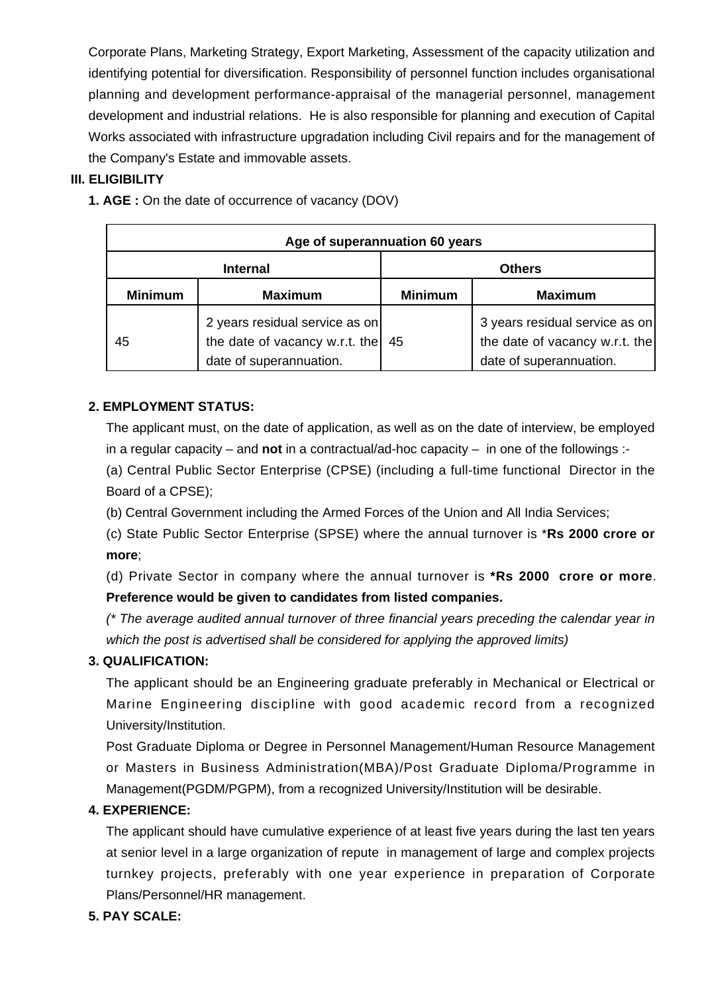Corporate Plans, Marketing Strategy, Export Marketing, Assessment of the capacity utilization and identifying potential for diversification. Responsibility of personnel function includes organisational planning and development performance-appraisal of the managerial personnel, management development and industrial relations. He is also responsible for planning and execution of Capital Works associated with infrastructure upgradation including Civil repairs and for the management of the Company's Estate and immovable assets.

# **III. ELIGIBILITY**

| Age of superannuation 60 years |                                                                                             |                |                                                                                             |  |
|--------------------------------|---------------------------------------------------------------------------------------------|----------------|---------------------------------------------------------------------------------------------|--|
| <b>Internal</b>                |                                                                                             | <b>Others</b>  |                                                                                             |  |
| <b>Minimum</b>                 | <b>Maximum</b>                                                                              | <b>Minimum</b> | <b>Maximum</b>                                                                              |  |
| 45                             | 2 years residual service as on<br>the date of vacancy w.r.t. the<br>date of superannuation. | 45             | 3 years residual service as on<br>the date of vacancy w.r.t. the<br>date of superannuation. |  |

**1. AGE :** On the date of occurrence of vacancy (DOV)

# **2. EMPLOYMENT STATUS:**

The applicant must, on the date of application, as well as on the date of interview, be employed in a regular capacity – and **not** in a contractual/ad-hoc capacity – in one of the followings :-

(a) Central Public Sector Enterprise (CPSE) (including a full-time functional Director in the Board of a CPSE);

(b) Central Government including the Armed Forces of the Union and All India Services;

(c) State Public Sector Enterprise (SPSE) where the annual turnover is \***Rs 2000 crore or more**;

(d) Private Sector in company where the annual turnover is **\*Rs 2000 crore or more**. **Preference would be given to candidates from listed companies.**

(\* The average audited annual turnover of three financial years preceding the calendar year in which the post is advertised shall be considered for applying the approved limits)

# **3. QUALIFICATION:**

The applicant should be an Engineering graduate preferably in Mechanical or Electrical or Marine Engineering discipline with good academic record from a recognized University/Institution.

Post Graduate Diploma or Degree in Personnel Management/Human Resource Management or Masters in Business Administration(MBA)/Post Graduate Diploma/Programme in Management(PGDM/PGPM), from a recognized University/Institution will be desirable.

# **4. EXPERIENCE:**

The applicant should have cumulative experience of at least five years during the last ten years at senior level in a large organization of repute in management of large and complex projects turnkey projects, preferably with one year experience in preparation of Corporate Plans/Personnel/HR management.

# **5. PAY SCALE:**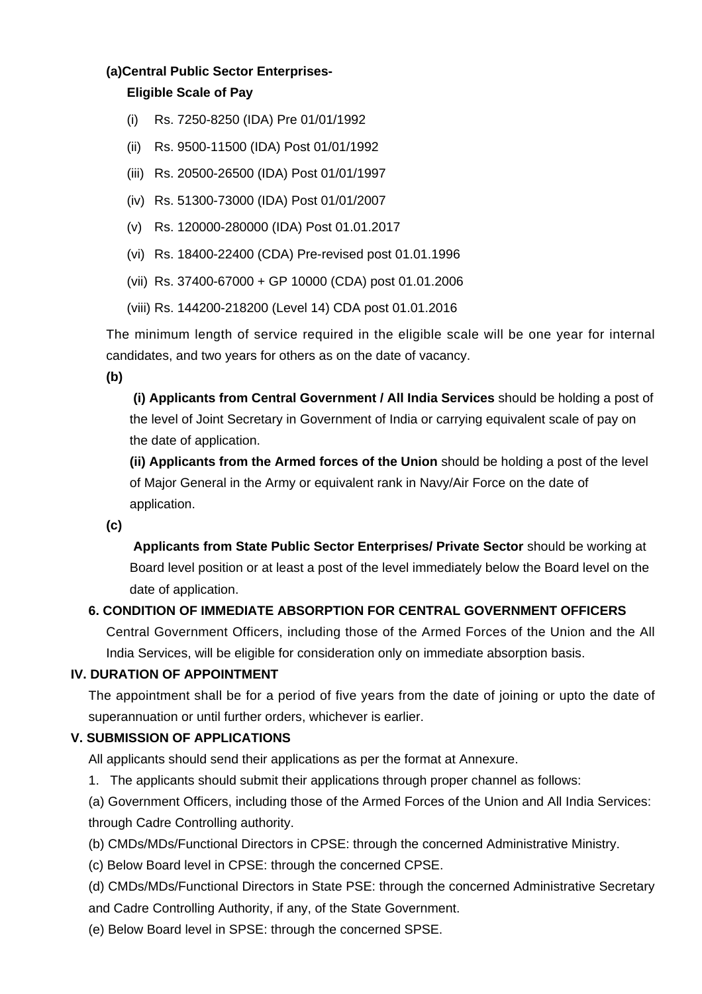## **(a)Central Public Sector Enterprises-**

## **Eligible Scale of Pay**

- (i) Rs. 7250-8250 (IDA) Pre 01/01/1992
- (ii) Rs. 9500-11500 (IDA) Post 01/01/1992
- (iii) Rs. 20500-26500 (IDA) Post 01/01/1997
- (iv) Rs. 51300-73000 (IDA) Post 01/01/2007
- (v) Rs. 120000-280000 (IDA) Post 01.01.2017
- (vi) Rs. 18400-22400 (CDA) Pre-revised post 01.01.1996
- (vii) Rs. 37400-67000 + GP 10000 (CDA) post 01.01.2006
- (viii) Rs. 144200-218200 (Level 14) CDA post 01.01.2016

The minimum length of service required in the eligible scale will be one year for internal candidates, and two years for others as on the date of vacancy.

**(b)**

**(i) Applicants from Central Government / All India Services** should be holding a post of the level of Joint Secretary in Government of India or carrying equivalent scale of pay on the date of application.

**(ii) Applicants from the Armed forces of the Union** should be holding a post of the level of Major General in the Army or equivalent rank in Navy/Air Force on the date of application.

**(c)**

 **Applicants from State Public Sector Enterprises/ Private Sector** should be working at Board level position or at least a post of the level immediately below the Board level on the date of application.

# **6. CONDITION OF IMMEDIATE ABSORPTION FOR CENTRAL GOVERNMENT OFFICERS**

Central Government Officers, including those of the Armed Forces of the Union and the All India Services, will be eligible for consideration only on immediate absorption basis.

#### **IV. DURATION OF APPOINTMENT**

The appointment shall be for a period of five years from the date of joining or upto the date of superannuation or until further orders, whichever is earlier.

# **V. SUBMISSION OF APPLICATIONS**

All applicants should send their applications as per the format at Annexure.

- 1. The applicants should submit their applications through proper channel as follows:
- (a) Government Officers, including those of the Armed Forces of the Union and All India Services: through Cadre Controlling authority.
- (b) CMDs/MDs/Functional Directors in CPSE: through the concerned Administrative Ministry.
- (c) Below Board level in CPSE: through the concerned CPSE.
- (d) CMDs/MDs/Functional Directors in State PSE: through the concerned Administrative Secretary
- and Cadre Controlling Authority, if any, of the State Government.
- (e) Below Board level in SPSE: through the concerned SPSE.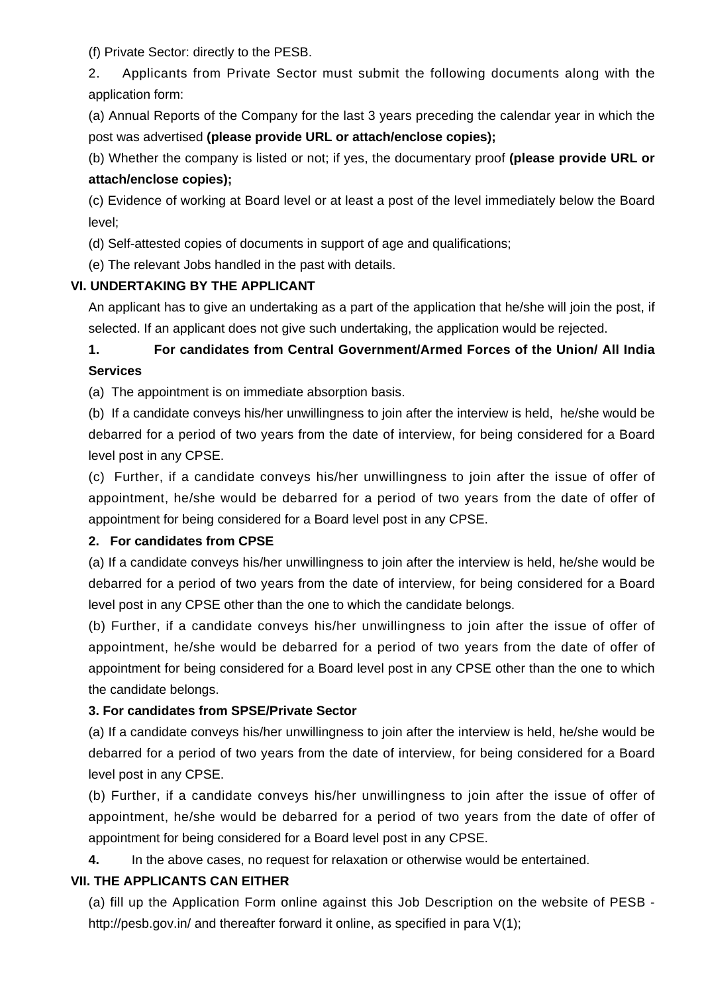(f) Private Sector: directly to the PESB.

2. Applicants from Private Sector must submit the following documents along with the application form:

(a) Annual Reports of the Company for the last 3 years preceding the calendar year in which the post was advertised **(please provide URL or attach/enclose copies);**

(b) Whether the company is listed or not; if yes, the documentary proof **(please provide URL or attach/enclose copies);**

(c) Evidence of working at Board level or at least a post of the level immediately below the Board level;

(d) Self-attested copies of documents in support of age and qualifications;

(e) The relevant Jobs handled in the past with details.

# **VI. UNDERTAKING BY THE APPLICANT**

An applicant has to give an undertaking as a part of the application that he/she will join the post, if selected. If an applicant does not give such undertaking, the application would be rejected.

**1. For candidates from Central Government/Armed Forces of the Union/ All India Services** 

(a) The appointment is on immediate absorption basis.

(b) If a candidate conveys his/her unwillingness to join after the interview is held, he/she would be debarred for a period of two years from the date of interview, for being considered for a Board level post in any CPSE.

(c) Further, if a candidate conveys his/her unwillingness to join after the issue of offer of appointment, he/she would be debarred for a period of two years from the date of offer of appointment for being considered for a Board level post in any CPSE.

# **2. For candidates from CPSE**

(a) If a candidate conveys his/her unwillingness to join after the interview is held, he/she would be debarred for a period of two years from the date of interview, for being considered for a Board level post in any CPSE other than the one to which the candidate belongs.

(b) Further, if a candidate conveys his/her unwillingness to join after the issue of offer of appointment, he/she would be debarred for a period of two years from the date of offer of appointment for being considered for a Board level post in any CPSE other than the one to which the candidate belongs.

# **3. For candidates from SPSE/Private Sector**

(a) If a candidate conveys his/her unwillingness to join after the interview is held, he/she would be debarred for a period of two years from the date of interview, for being considered for a Board level post in any CPSE.

(b) Further, if a candidate conveys his/her unwillingness to join after the issue of offer of appointment, he/she would be debarred for a period of two years from the date of offer of appointment for being considered for a Board level post in any CPSE.

**4.** In the above cases, no request for relaxation or otherwise would be entertained.

# **VII. THE APPLICANTS CAN EITHER**

(a) fill up the Application Form online against this Job Description on the website of PESB http://pesb.gov.in/ and thereafter forward it online, as specified in para  $V(1)$ ;